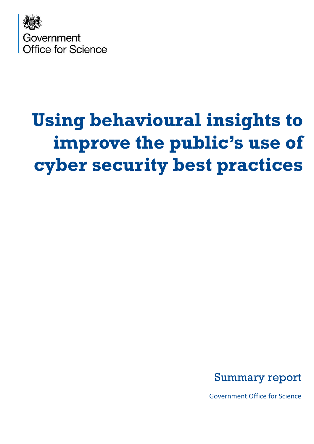

# **Using behavioural insights to improve the public's use of cyber security best practices**



Government Office for Science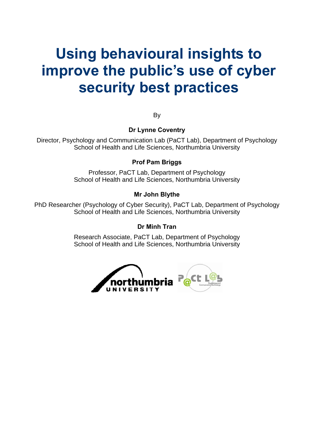# **Using behavioural insights to improve the public's use of cyber security best practices**

By

#### **Dr Lynne Coventry**

Director, Psychology and Communication Lab (PaCT Lab), Department of Psychology School of Health and Life Sciences, Northumbria University

#### **Prof Pam Briggs**

Professor, PaCT Lab, Department of Psychology School of Health and Life Sciences, Northumbria University

#### **Mr John Blythe**

PhD Researcher (Psychology of Cyber Security), PaCT Lab, Department of Psychology School of Health and Life Sciences, Northumbria University

#### **Dr Minh Tran**

Research Associate, PaCT Lab, Department of Psychology School of Health and Life Sciences, Northumbria University

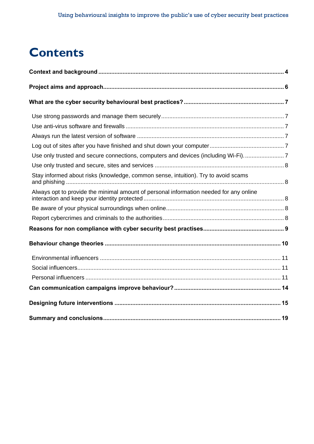# **Contents**

<span id="page-2-0"></span>

| Use only trusted and secure connections, computers and devices (including Wi-Fi)7      |  |
|----------------------------------------------------------------------------------------|--|
|                                                                                        |  |
| Stay informed about risks (knowledge, common sense, intuition). Try to avoid scams     |  |
| Always opt to provide the minimal amount of personal information needed for any online |  |
|                                                                                        |  |
|                                                                                        |  |
|                                                                                        |  |
|                                                                                        |  |
|                                                                                        |  |
|                                                                                        |  |
|                                                                                        |  |
|                                                                                        |  |
|                                                                                        |  |
|                                                                                        |  |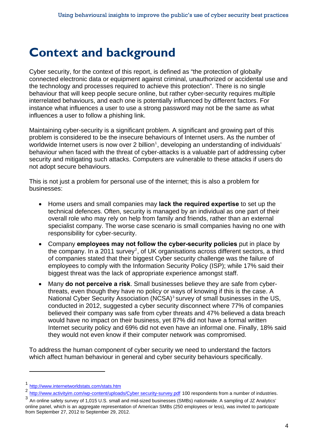# **Context and background**

Cyber security, for the context of this report, is defined as "the protection of globally connected electronic data or equipment against criminal, unauthorized or accidental use and the technology and processes required to achieve this protection". There is no single behaviour that will keep people secure online, but rather cyber-security requires multiple interrelated behaviours, and each one is potentially influenced by different factors. For instance what influences a user to use a strong password may not be the same as what influences a user to follow a phishing link.

Maintaining cyber-security is a significant problem. A significant and growing part of this problem is considered to be the insecure behaviours of Internet users. As the number of worldwide Internet users is now over 2 billion<sup>[1](#page-2-0)</sup>, developing an understanding of individuals' behaviour when faced with the threat of cyber-attacks is a valuable part of addressing cyber security and mitigating such attacks. Computers are vulnerable to these attacks if users do not adopt secure behaviours.

This is not just a problem for personal use of the internet; this is also a problem for businesses:

- Home users and small companies may **lack the required expertise** to set up the technical defences. Often, security is managed by an individual as one part of their overall role who may rely on help from family and friends, rather than an external specialist company. The worse case scenario is small companies having no one with responsibility for cyber-security.
- Company **employees may not follow the cyber-security policies** put in place by the company. In a [2](#page-3-1)011 survey<sup>2</sup>, of UK organisations across different sectors, a third of companies stated that their biggest Cyber security challenge was the failure of employees to comply with the Information Security Policy (ISP); while 17% said their biggest threat was the lack of appropriate experience amongst staff.
- Many **do not perceive a risk**. Small businesses believe they are safe from cyberthreats, even though they have no policy or ways of knowing if this is the case. A National Cyber Security Association (NCSA)<sup>[3](#page-3-2)</sup> survey of small businesses in the US, conducted in 2012, suggested a cyber security disconnect where 77% of companies believed their company was safe from cyber threats and 47% believed a data breach would have no impact on their business, yet 87% did not have a formal written Internet security policy and 69% did not even have an informal one. Finally, 18% said they would not even know if their computer network was compromised.

<span id="page-3-0"></span>To address the human component of cyber security we need to understand the factors which affect human behaviour in general and cyber security behaviours specifically.

l

<span id="page-3-1"></span> $\frac{1}{2} \frac{http://www.internetworldstats.com/stats.htm}{http://www.activityim.com/wp-content/uploads/Cyber security-survey.pdf}$  $\frac{1}{2} \frac{http://www.internetworldstats.com/stats.htm}{http://www.activityim.com/wp-content/uploads/Cyber security-survey.pdf}$  $\frac{1}{2} \frac{http://www.internetworldstats.com/stats.htm}{http://www.activityim.com/wp-content/uploads/Cyber security-survey.pdf}$  100 respondents from a number of industries.<br>  $\frac{2}{100}$  http://www.activityim.com/wp-content/uploads/Cyber security-survey.pdf 100 respondents from a number of industries.

<span id="page-3-3"></span><span id="page-3-2"></span>online panel, which is an aggregate representation of American SMBs (250 employees or less), was invited to participate from September 27, 2012 to September 29, 2012.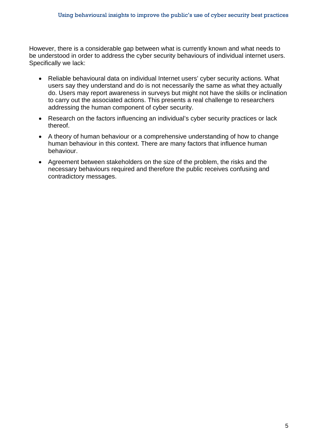However, there is a considerable gap between what is currently known and what needs to be understood in order to address the cyber security behaviours of individual internet users. Specifically we lack:

- Reliable behavioural data on individual Internet users' cyber security actions. What users say they understand and do is not necessarily the same as what they actually do. Users may report awareness in surveys but might not have the skills or inclination to carry out the associated actions. This presents a real challenge to researchers addressing the human component of cyber security.
- Research on the factors influencing an individual's cyber security practices or lack thereof.
- A theory of human behaviour or a comprehensive understanding of how to change human behaviour in this context. There are many factors that influence human behaviour.
- Agreement between stakeholders on the size of the problem, the risks and the necessary behaviours required and therefore the public receives confusing and contradictory messages.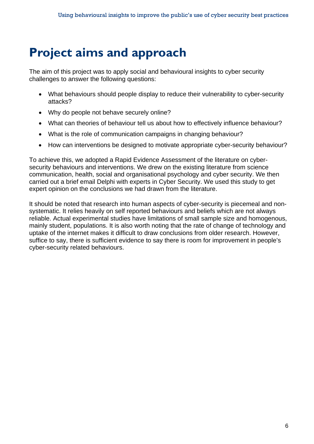# **Project aims and approach**

The aim of this project was to apply social and behavioural insights to cyber security challenges to answer the following questions:

- What behaviours should people display to reduce their vulnerability to cyber-security attacks?
- Why do people not behave securely online?
- What can theories of behaviour tell us about how to effectively influence behaviour?
- What is the role of communication campaigns in changing behaviour?
- How can interventions be designed to motivate appropriate cyber-security behaviour?

To achieve this, we adopted a Rapid Evidence Assessment of the literature on cybersecurity behaviours and interventions. We drew on the existing literature from science communication, health, social and organisational psychology and cyber security. We then carried out a brief email Delphi with experts in Cyber Security. We used this study to get expert opinion on the conclusions we had drawn from the literature.

<span id="page-5-0"></span>It should be noted that research into human aspects of cyber-security is piecemeal and nonsystematic. It relies heavily on self reported behaviours and beliefs which are not always reliable. Actual experimental studies have limitations of small sample size and homogenous, mainly student, populations. It is also worth noting that the rate of change of technology and uptake of the internet makes it difficult to draw conclusions from older research. However, suffice to say, there is sufficient evidence to say there is room for improvement in people's cyber-security related behaviours.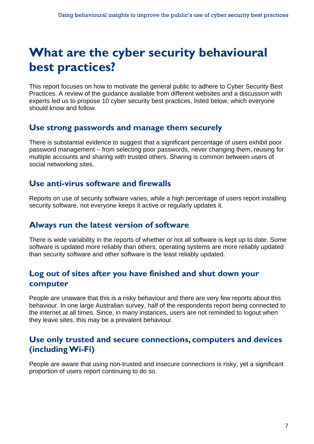# **What are the cyber security behavioural best practices?**

This report focuses on how to motivate the general public to adhere to Cyber Security Best Practices. A review of the guidance available from different websites and a discussion with experts led us to propose 10 cyber security best practices, listed below, which everyone should know and follow.

### <span id="page-6-1"></span>**Use strong passwords and manage them securely**

There is substantial evidence to suggest that a significant percentage of users exhibit poor password management – from selecting poor passwords, never changing them, reusing for multiple accounts and sharing with trusted others. Sharing is common between users of social networking sites.

### <span id="page-6-2"></span>**Use anti-virus software and firewalls**

Reports on use of security software varies, while a high percentage of users report installing security software, not everyone keeps it active or regularly updates it.

### <span id="page-6-3"></span>**Always run the latest version of software**

There is wide variability in the reports of whether or not all software is kept up to date. Some software is updated more reliably than others; operating systems are more reliably updated than security software and other software is the least reliably updated.

### <span id="page-6-4"></span><span id="page-6-0"></span>**Log out of sites after you have finished and shut down your computer**

People are unaware that this is a risky behaviour and there are very few reports about this behaviour. In one large Australian survey, half of the respondents report being connected to the internet at all times. Since, in many instances, users are not reminded to logout when they leave sites, this may be a prevalent behaviour.

### <span id="page-6-5"></span>**Use only trusted and secure connections, computers and devices (including Wi-Fi)**

People are aware that using non-trusted and insecure connections is risky, yet a significant proportion of users report continuing to do so.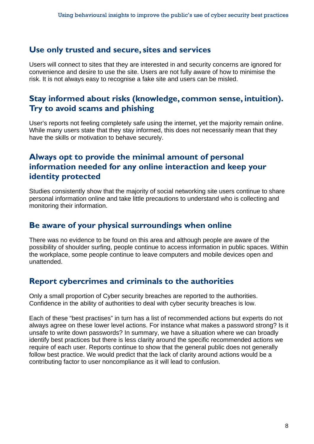#### <span id="page-7-0"></span>**Use only trusted and secure, sites and services**

Users will connect to sites that they are interested in and security concerns are ignored for convenience and desire to use the site. Users are not fully aware of how to minimise the risk. It is not always easy to recognise a fake site and users can be misled.

### <span id="page-7-1"></span>**Stay informed about risks (knowledge, common sense, intuition). Try to avoid scams and phishing**

User's reports not feeling completely safe using the internet, yet the majority remain online. While many users state that they stay informed, this does not necessarily mean that they have the skills or motivation to behave securely.

### <span id="page-7-2"></span>**Always opt to provide the minimal amount of personal information needed for any online interaction and keep your identity protected**

Studies consistently show that the majority of social networking site users continue to share personal information online and take little precautions to understand who is collecting and monitoring their information.

### <span id="page-7-3"></span>**Be aware of your physical surroundings when online**

There was no evidence to be found on this area and although people are aware of the possibility of shoulder surfing, people continue to access information in public spaces. Within the workplace, some people continue to leave computers and mobile devices open and unattended.

### <span id="page-7-4"></span>**Report cybercrimes and criminals to the authorities**

Only a small proportion of Cyber security breaches are reported to the authorities. Confidence in the ability of authorities to deal with cyber security breaches is low.

Each of these "best practises" in turn has a list of recommended actions but experts do not always agree on these lower level actions. For instance what makes a password strong? Is it unsafe to write down passwords? In summary, we have a situation where we can broadly identify best practices but there is less clarity around the specific recommended actions we require of each user. Reports continue to show that the general public does not generally follow best practice. We would predict that the lack of clarity around actions would be a contributing factor to user noncompliance as it will lead to confusion.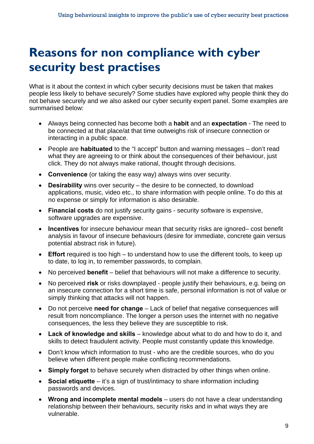# **Reasons for non compliance with cyber security best practises**

What is it about the context in which cyber security decisions must be taken that makes people less likely to behave securely? Some studies have explored why people think they do not behave securely and we also asked our cyber security expert panel. Some examples are summarised below:

- Always being connected has become both a **habit** and an **expectation** The need to be connected at that place/at that time outweighs risk of insecure connection or interacting in a public space.
- People are **habituated** to the "I accept" button and warning messages don't read what they are agreeing to or think about the consequences of their behaviour, just click. They do not always make rational, thought through decisions.
- **Convenience** (or taking the easy way) always wins over security.
- **Desirability** wins over security the desire to be connected, to download applications, music, video etc., to share information with people online. To do this at no expense or simply for information is also desirable.
- **Financial costs** do not justify security gains security software is expensive, software upgrades are expensive.
- **Incentives** for insecure behaviour mean that security risks are ignored– cost benefit analysis in favour of insecure behaviours (desire for immediate, concrete gain versus potential abstract risk in future).
- **Effort** required is too high to understand how to use the different tools, to keep up to date, to log in, to remember passwords, to complain.
- No perceived **benefit** belief that behaviours will not make a difference to security.
- No perceived **risk** or risks downplayed people justify their behaviours, e.g. being on an insecure connection for a short time is safe, personal information is not of value or simply thinking that attacks will not happen.
- Do not perceive **need for change** Lack of belief that negative consequences will result from noncompliance. The longer a person uses the internet with no negative consequences, the less they believe they are susceptible to risk.
- **Lack of knowledge and skills** knowledge about what to do and how to do it, and skills to detect fraudulent activity. People must constantly update this knowledge.
- Don't know which information to trust who are the credible sources, who do you believe when different people make conflicting recommendations.
- <span id="page-8-0"></span>**Simply forget** to behave securely when distracted by other things when online.
- **Social etiquette** it's a sign of trust/intimacy to share information including passwords and devices.
- **Wrong and incomplete mental models** users do not have a clear understanding relationship between their behaviours, security risks and in what ways they are vulnerable.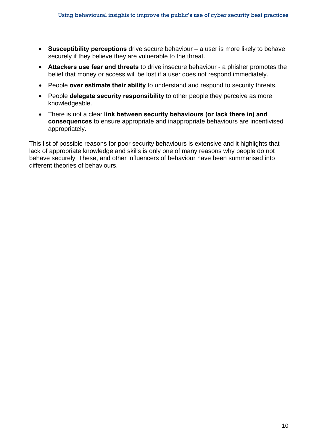- **Susceptibility perceptions** drive secure behaviour a user is more likely to behave securely if they believe they are vulnerable to the threat.
- **Attackers use fear and threats** to drive insecure behaviour a phisher promotes the belief that money or access will be lost if a user does not respond immediately.
- People **over estimate their ability** to understand and respond to security threats.
- People **delegate security responsibility** to other people they perceive as more knowledgeable.
- There is not a clear **link between security behaviours (or lack there in) and consequences** to ensure appropriate and inappropriate behaviours are incentivised appropriately.

This list of possible reasons for poor security behaviours is extensive and it highlights that lack of appropriate knowledge and skills is only one of many reasons why people do not behave securely. These, and other influencers of behaviour have been summarised into different theories of behaviours.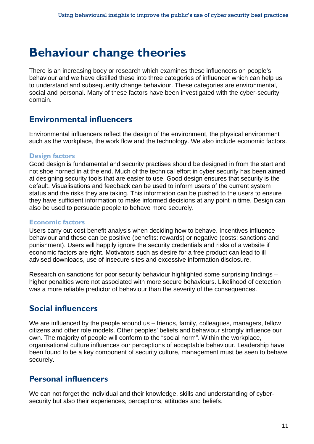### **Behaviour change theories**

There is an increasing body or research which examines these influencers on people's behaviour and we have distilled these into three categories of influencer which can help us to understand and subsequently change behaviour. These categories are environmental, social and personal. Many of these factors have been investigated with the cyber-security domain.

### <span id="page-10-1"></span>**Environmental influencers**

Environmental influencers reflect the design of the environment, the physical environment such as the workplace, the work flow and the technology. We also include economic factors.

#### **Design factors**

<span id="page-10-0"></span>Good design is fundamental and security practises should be designed in from the start and not shoe horned in at the end. Much of the technical effort in cyber security has been aimed at designing security tools that are easier to use. Good design ensures that security is the default. Visualisations and feedback can be used to inform users of the current system status and the risks they are taking. This information can be pushed to the users to ensure they have sufficient information to make informed decisions at any point in time. Design can also be used to persuade people to behave more securely.

#### **Economic factors**

Users carry out cost benefit analysis when deciding how to behave. Incentives influence behaviour and these can be positive (benefits: rewards) or negative (costs: sanctions and punishment). Users will happily ignore the security credentials and risks of a website if economic factors are right. Motivators such as desire for a free product can lead to ill advised downloads, use of insecure sites and excessive information disclosure.

Research on sanctions for poor security behaviour highlighted some surprising findings – higher penalties were not associated with more secure behaviours. Likelihood of detection was a more reliable predictor of behaviour than the severity of the consequences.

### <span id="page-10-2"></span>**Social influencers**

We are influenced by the people around us – friends, family, colleagues, managers, fellow citizens and other role models. Other peoples' beliefs and behaviour strongly influence our own. The majority of people will conform to the "social norm". Within the workplace, organisational culture influences our perceptions of acceptable behaviour. Leadership have been found to be a key component of security culture, management must be seen to behave securely.

### <span id="page-10-3"></span>**Personal influencers**

We can not forget the individual and their knowledge, skills and understanding of cybersecurity but also their experiences, perceptions, attitudes and beliefs.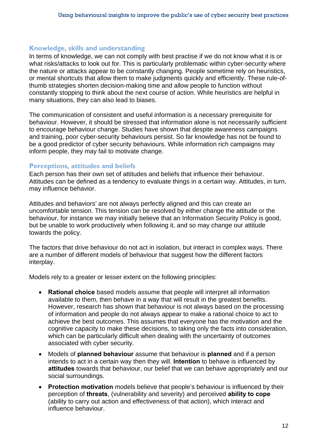#### **Knowledge, skills and understanding**

In terms of knowledge, we can not comply with best practise if we do not know what it is or what risks/attacks to look out for. This is particularly problematic within cyber-security where the nature or attacks appear to be constantly changing. People sometime rely on heuristics, or mental shortcuts that allow them to make judgments quickly and efficiently. These rule-ofthumb strategies shorten decision-making time and allow people to function without constantly stopping to think about the next course of action. While heuristics are helpful in many situations, they can also lead to biases.

The communication of consistent and useful information is a necessary prerequisite for behaviour. However, it should be stressed that information alone is not necessarily sufficient to encourage behaviour change. Studies have shown that despite awareness campaigns and training, poor cyber-security behaviours persist. So far knowledge has not be found to be a good predictor of cyber security behaviours. While information rich campaigns may inform people, they may fail to motivate change.

#### **Perceptions, attitudes and beliefs**

Each person has their own set of attitudes and beliefs that influence their behaviour. Attitudes can be defined as a tendency to evaluate things in a certain way. Attitudes, in turn, may influence behavior.

Attitudes and behaviors' are not always perfectly aligned and this can create an uncomfortable tension. This tension can be resolved by either change the attitude or the behaviour, for instance we may initially believe that an Information Security Policy is good, but be unable to work productively when following it, and so may change our attitude towards the policy.

The factors that drive behaviour do not act in isolation, but interact in complex ways. There are a number of different models of behaviour that suggest how the different factors interplay.

Models rely to a greater or lesser extent on the following principles:

- **Rational choice** based models assume that people will interpret all information available to them, then behave in a way that will result in the greatest benefits. However, research has shown that behaviour is not always based on the processing of information and people do not always appear to make a rational choice to act to achieve the best outcomes. This assumes that everyone has the motivation and the cognitive capacity to make these decisions, to taking only the facts into consideration, which can be particularly difficult when dealing with the uncertainty of outcomes associated with cyber security.
- Models of **planned behaviour** assume that behaviour is **planned** and if a person intends to act in a certain way then they will. **Intention** to behave is influenced by **attitudes** towards that behaviour, our belief that we can behave appropriately and our social surroundings.
- **Protection motivation** models believe that people's behaviour is influenced by their perception of **threats**, (vulnerability and severity) and perceived **ability to cope**  (ability to carry out action and effectiveness of that action), which interact and influence behaviour.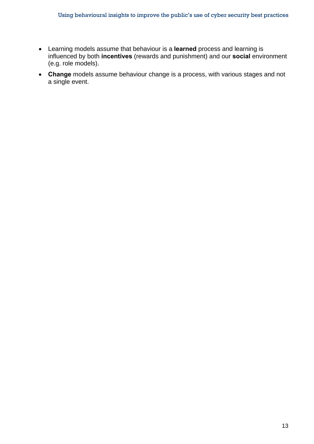- Learning models assume that behaviour is a **learned** process and learning is influenced by both **incentives** (rewards and punishment) and our **social** environment (e.g. role models).
- **Change** models assume behaviour change is a process, with various stages and not a single event.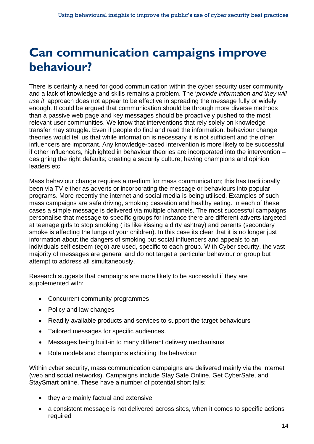# **Can communication campaigns improve behaviour?**

<span id="page-13-0"></span>There is certainly a need for good communication within the cyber security user community and a lack of knowledge and skills remains a problem. The '*provide information and they will use it*' approach does not appear to be effective in spreading the message fully or widely enough. It could be argued that communication should be through more diverse methods than a passive web page and key messages should be proactively pushed to the most relevant user communities. We know that interventions that rely solely on knowledge transfer may struggle. Even if people do find and read the information, behaviour change theories would tell us that while information is necessary it is not sufficient and the other influencers are important. Any knowledge-based intervention is more likely to be successful if other influencers, highlighted in behaviour theories are incorporated into the intervention – designing the right defaults; creating a security culture; having champions and opinion leaders etc

Mass behaviour change requires a medium for mass communication; this has traditionally been via TV either as adverts or incorporating the message or behaviours into popular programs. More recently the internet and social media is being utilised. Examples of such mass campaigns are safe driving, smoking cessation and healthy eating. In each of these cases a simple message is delivered via multiple channels. The most successful campaigns personalise that message to specific groups for instance there are different adverts targeted at teenage girls to stop smoking ( its like kissing a dirty ashtray) and parents (secondary smoke is affecting the lungs of your children). In this case its clear that it is no longer just information about the dangers of smoking but social influencers and appeals to an individuals self esteem (ego) are used, specific to each group. With Cyber security, the vast majority of messages are general and do not target a particular behaviour or group but attempt to address all simultaneously.

Research suggests that campaigns are more likely to be successful if they are supplemented with:

- Concurrent community programmes
- Policy and law changes
- Readily available products and services to support the target behaviours
- Tailored messages for specific audiences.
- Messages being built-in to many different delivery mechanisms
- Role models and champions exhibiting the behaviour

Within cyber security, mass communication campaigns are delivered mainly via the internet (web and social networks). Campaigns include Stay Safe Online, Get CyberSafe, and StaySmart online. These have a number of potential short falls:

- they are mainly factual and extensive
- a consistent message is not delivered across sites, when it comes to specific actions required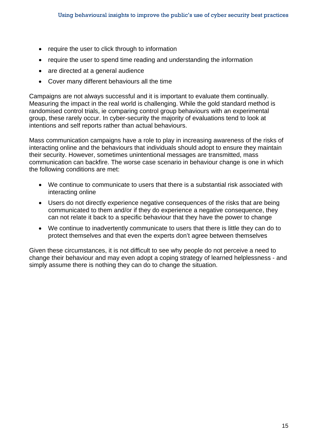- require the user to click through to information
- require the user to spend time reading and understanding the information
- are directed at a general audience
- Cover many different behaviours all the time

Campaigns are not always successful and it is important to evaluate them continually. Measuring the impact in the real world is challenging. While the gold standard method is randomised control trials, ie comparing control group behaviours with an experimental group, these rarely occur. In cyber-security the majority of evaluations tend to look at intentions and self reports rather than actual behaviours.

Mass communication campaigns have a role to play in increasing awareness of the risks of interacting online and the behaviours that individuals should adopt to ensure they maintain their security. However, sometimes unintentional messages are transmitted, mass communication can backfire. The worse case scenario in behaviour change is one in which the following conditions are met:

- We continue to communicate to users that there is a substantial risk associated with interacting online
- Users do not directly experience negative consequences of the risks that are being communicated to them and/or if they do experience a negative consequence, they can not relate it back to a specific behaviour that they have the power to change
- We continue to inadvertently communicate to users that there is little they can do to protect themselves and that even the experts don't agree between themselves

Given these circumstances, it is not difficult to see why people do not perceive a need to change their behaviour and may even adopt a coping strategy of learned helplessness - and simply assume there is nothing they can do to change the situation.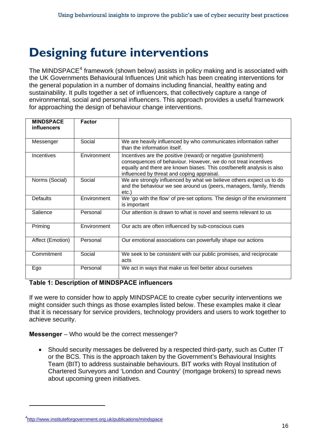# **Designing future interventions**

The MINDSPACE<sup>[4](#page-3-3)</sup> framework (shown below) assists in policy making and is associated with the UK Governments Behavioural Influences Unit which has been creating interventions for the general population in a number of domains including financial, healthy eating and sustainability. It pulls together a set of influencers, that collectively capture a range of environmental, social and personal influencers. This approach provides a useful framework for approaching the design of behaviour change interventions.

| <b>MINDSPACE</b><br>influencers | <b>Factor</b> |                                                                                                                                                                                                                                                         |
|---------------------------------|---------------|---------------------------------------------------------------------------------------------------------------------------------------------------------------------------------------------------------------------------------------------------------|
| Messenger                       | Social        | We are heavily influenced by who communicates information rather<br>than the information itself.                                                                                                                                                        |
| Incentives                      | Environment   | Incentives are the positive (reward) or negative (punishment)<br>consequences of behaviour. However, we do not treat incentives<br>equally and there are known biases. This cost/benefit analysis is also<br>influenced by threat and coping appraisal. |
| Norms (Social)                  | Social        | We are strongly influenced by what we believe others expect us to do<br>and the behaviour we see around us (peers, managers, family, friends<br>$etc.$ )                                                                                                |
| <b>Defaults</b>                 | Environment   | We 'go with the flow' of pre-set options. The design of the environment<br>is important                                                                                                                                                                 |
| Salience                        | Personal      | Our attention is drawn to what is novel and seems relevant to us                                                                                                                                                                                        |
| Priming                         | Environment   | Our acts are often influenced by sub-conscious cues                                                                                                                                                                                                     |
| Affect (Emotion)                | Personal      | Our emotional associations can powerfully shape our actions                                                                                                                                                                                             |
| Commitment                      | Social        | We seek to be consistent with our public promises, and reciprocate<br>acts                                                                                                                                                                              |
| Ego                             | Personal      | We act in ways that make us feel better about ourselves                                                                                                                                                                                                 |

#### <span id="page-15-0"></span>**Table 1: Description of MINDSPACE influencers**

If we were to consider how to apply MINDSPACE to create cyber security interventions we might consider such things as those examples listed below. These examples make it clear that it is necessary for service providers, technology providers and users to work together to achieve security.

**Messenger** – Who would be the correct messenger?

• Should security messages be delivered by a respected third-party, such as Cutter IT or the BCS. This is the approach taken by the Government's Behavioural Insights Team (BIT) to address sustainable behaviours. BIT works with Royal Institution of Chartered Surveyors and 'London and Country' (mortgage brokers) to spread news about upcoming green initiatives.

l

<sup>4</sup> <http://www.instituteforgovernment.org.uk/publications/mindspace>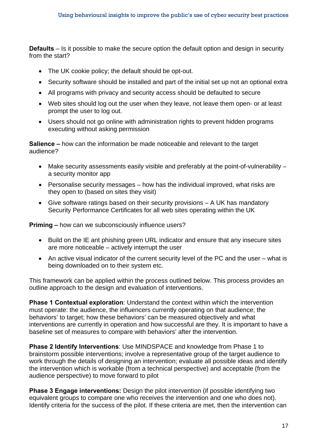**Defaults** – Is it possible to make the secure option the default option and design in security from the start?

- The UK cookie policy; the default should be opt-out.
- Security software should be installed and part of the initial set up not an optional extra
- All programs with privacy and security access should be defaulted to secure
- Web sites should log out the user when they leave, not leave them open- or at least prompt the user to log out.
- Users should not go online with administration rights to prevent hidden programs executing without asking permission

**Salience –** how can the information be made noticeable and relevant to the target audience?

- Make security assessments easily visible and preferably at the point-of-vulnerability a security monitor app
- Personalise security messages how has the individual improved, what risks are they open to (based on sites they visit)
- Give software ratings based on their security provisions A UK has mandatory Security Performance Certificates for all web sites operating within the UK

**Priming –** how can we subconsciously influence users?

- Build on the IE ant phishing green URL indicator and ensure that any insecure sites are more noticeable – actively interrupt the user
- An active visual indicator of the current security level of the PC and the user what is being downloaded on to their system etc.

This framework can be applied within the process outlined below. This process provides an outline approach to the design and evaluation of interventions.

**Phase 1 Contextual exploration**: Understand the context within which the intervention must operate: the audience, the influencers currently operating on that audience; the behaviors' to target; how these behaviors' can be measured objectively and what interventions are currently in operation and how successful are they. It is important to have a baseline set of measures to compare with behaviors' after the intervention.

**Phase 2 Identify Interventions**: Use MINDSPACE and knowledge from Phase 1 to brainstorm possible interventions; involve a representative group of the target audience to work through the details of designing an intervention; evaluate all possible ideas and identify the intervention which is workable (from a technical perspective) and acceptable (from the audience perspective) to move forward to pilot

**Phase 3 Engage interventions:** Design the pilot intervention (if possible identifying two equivalent groups to compare one who receives the intervention and one who does not). Identify criteria for the success of the pilot. If these criteria are met, then the intervention can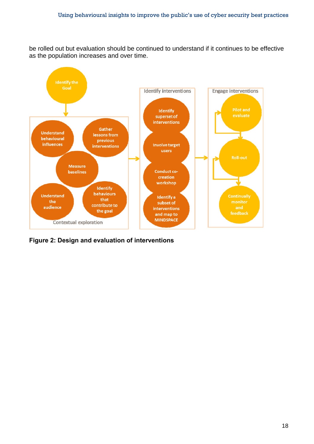be rolled out but evaluation should be continued to understand if it continues to be effective as the population increases and over time.



**Figure 2: Design and evaluation of interventions**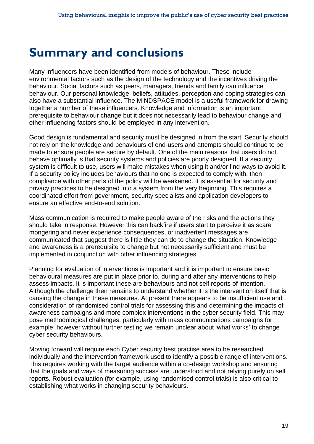## **Summary and conclusions**

Many influencers have been identified from models of behaviour. These include environmental factors such as the design of the technology and the incentives driving the behaviour. Social factors such as peers, managers, friends and family can influence behaviour. Our personal knowledge, beliefs, attitudes, perception and coping strategies can also have a substantial influence. The MINDSPACE model is a useful framework for drawing together a number of these influencers. Knowledge and information is an important prerequisite to behaviour change but it does not necessarily lead to behaviour change and other influencing factors should be employed in any intervention.

Good design is fundamental and security must be designed in from the start. Security should not rely on the knowledge and behaviours of end-users and attempts should continue to be made to ensure people are secure by default. One of the main reasons that users do not behave optimally is that security systems and policies are poorly designed. If a security system is difficult to use, users will make mistakes when using it and/or find ways to avoid it. If a security policy includes behaviours that no one is expected to comply with, then compliance with other parts of the policy will be weakened. It is essential for security and privacy practices to be designed into a system from the very beginning. This requires a coordinated effort from government, security specialists and application developers to ensure an effective end-to-end solution.

Mass communication is required to make people aware of the risks and the actions they should take in response. However this can backfire if users start to perceive it as scare mongering and never experience consequences, or inadvertent messages are communicated that suggest there is little they can do to change the situation. Knowledge and awareness is a prerequisite to change but not necessarily sufficient and must be implemented in conjunction with other influencing strategies.

<span id="page-18-0"></span>Planning for evaluation of interventions is important and it is important to ensure basic behavioural measures are put in place prior to, during and after any interventions to help assess impacts. It is important these are behaviours and not self reports of intention. Although the challenge then remains to understand whether it is the intervention itself that is causing the change in these measures. At present there appears to be insufficient use and consideration of randomised control trials for assessing this and determining the impacts of awareness campaigns and more complex interventions in the cyber security field. This may pose methodological challenges, particularly with mass communications campaigns for example; however without further testing we remain unclear about 'what works' to change cyber security behaviours.

Moving forward will require each Cyber security best practise area to be researched individually and the intervention framework used to identify a possible range of interventions. This requires working with the target audience within a co-design workshop and ensuring that the goals and ways of measuring success are understood and not relying purely on self reports. Robust evaluation (for example, using randomised control trials) is also critical to establishing what works in changing security behaviours.